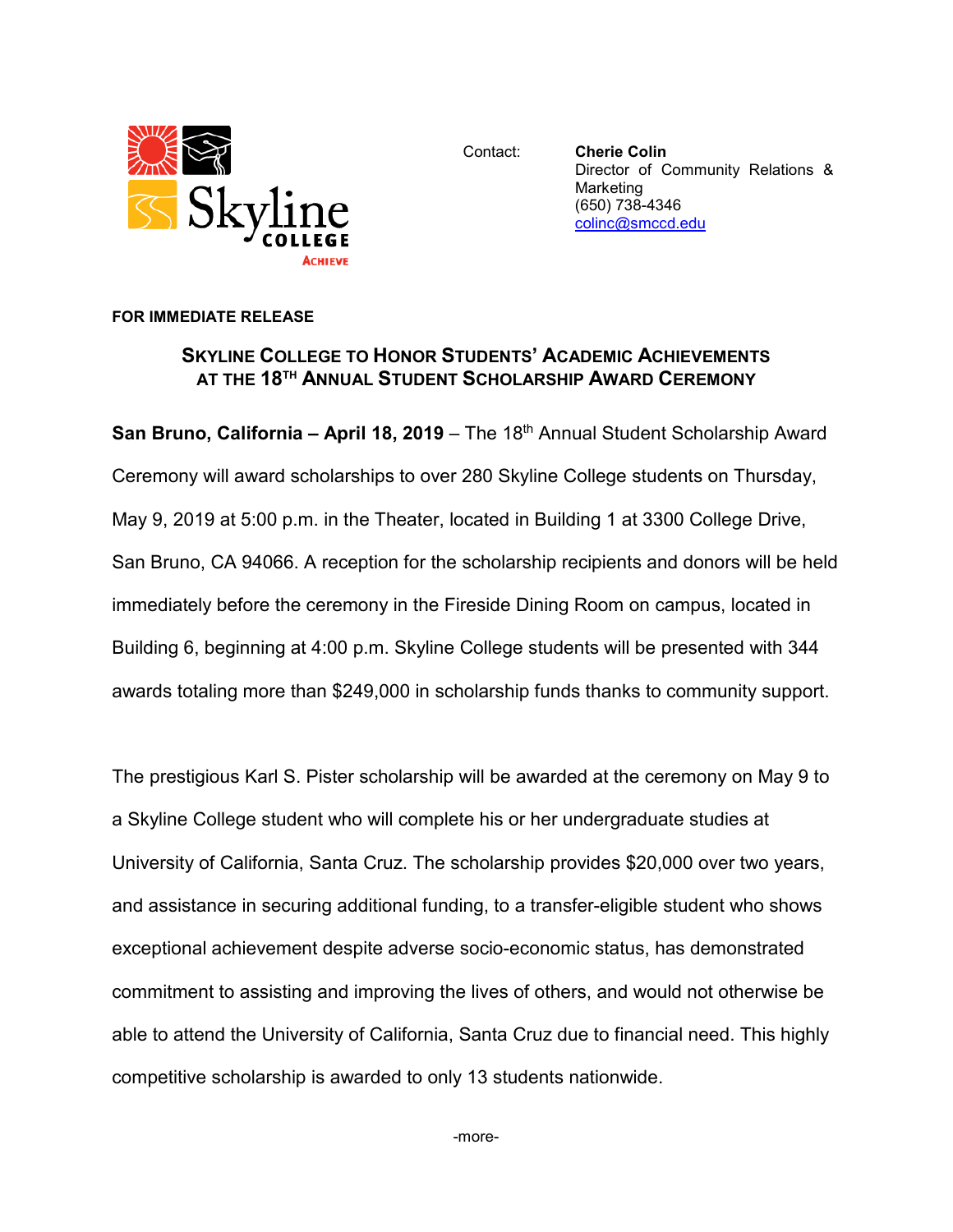

Contact: **Cherie Colin** Director of Community Relations & Marketing (650) 738-4346 [colinc@smccd.edu](mailto:colinc@smccd.edu)

## **FOR IMMEDIATE RELEASE**

## **SKYLINE COLLEGE TO HONOR STUDENTS' ACADEMIC ACHIEVEMENTS AT THE 18TH ANNUAL STUDENT SCHOLARSHIP AWARD CEREMONY**

**San Bruno, California – April 18, 2019** – The 18<sup>th</sup> Annual Student Scholarship Award Ceremony will award scholarships to over 280 Skyline College students on Thursday, May 9, 2019 at 5:00 p.m. in the Theater, located in Building 1 at 3300 College Drive, San Bruno, CA 94066. A reception for the scholarship recipients and donors will be held immediately before the ceremony in the Fireside Dining Room on campus, located in Building 6, beginning at 4:00 p.m. Skyline College students will be presented with 344 awards totaling more than \$249,000 in scholarship funds thanks to community support.

The prestigious Karl S. Pister scholarship will be awarded at the ceremony on May 9 to a Skyline College student who will complete his or her undergraduate studies at University of California, Santa Cruz. The scholarship provides \$20,000 over two years, and assistance in securing additional funding, to a transfer-eligible student who shows exceptional achievement despite adverse socio-economic status, has demonstrated commitment to assisting and improving the lives of others, and would not otherwise be able to attend the University of California, Santa Cruz due to financial need. This highly competitive scholarship is awarded to only 13 students nationwide.